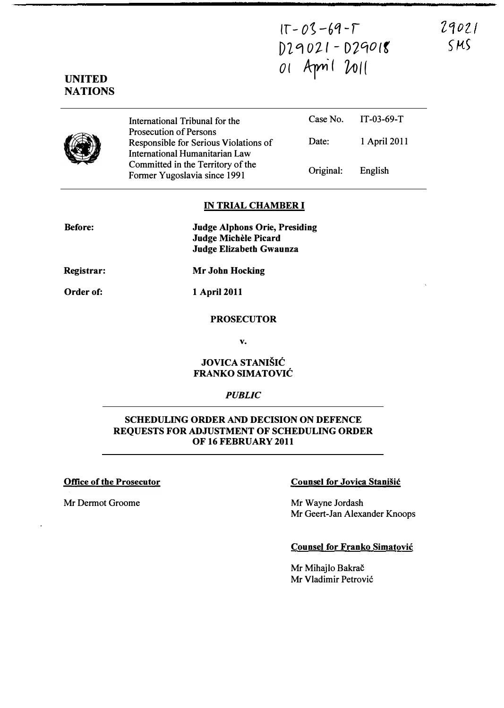$IT - 03 - 69 - T$  $D29021 - D29018$ o ( Ayn' ( 01((

29021  $SMS$ 



UNITED **NATIONS** 

> International Tribunal for the Prosecution of Persons Responsible for Serious Violations of International Humanitarian Law Committed in the Territory of the Former Yugoslavia since 1991 Case No. IT -03-69-T Date: 1 April 2011 Original: English

## IN TRIAL CHAMBER I

Before:

Judge A1phons Orie, Presiding Judge Michele Picard Judge Elizabeth Gwaunza

Registrar:

Mr John Hocking

Order of:

1 April 2011

## PROSECUTOR

v.

# JOVICA STANIŠIĆ FRANKO SIMATOVIC

## **PUBLIC**

# SCHEDULING ORDER AND DECISION ON DEFENCE REQUESTS FOR ADJUSTMENT OF SCHEDULING ORDER OF 16 FEBRUARY 2011

Mr Dermot Groome Mr Wayne Jordash

# Office of the Prosecutor Counsel for Jovica Stanisic

Mr Geert-Jan Alexander Knoops

# Counsel for Franko Simatovic

Mr Mihajlo Bakrač Mr Vladimir Petrovic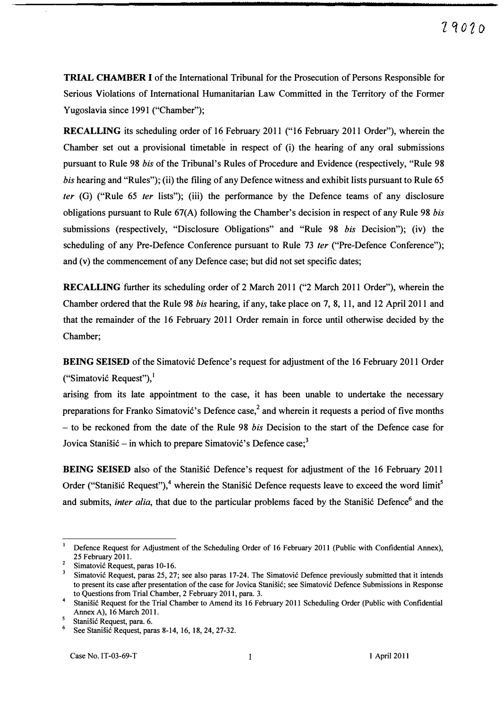TRIAL CHAMBER I of the International Tribunal for the Prosecution of Persons Responsible for Serious Violations of International Humanitarian Law Committed in the Territory of the Former Yugoslavia since 1991 ("Chamber");

RECALLING its scheduling order of 16 February 2011 ("16 February 2011 Order"), wherein the Chamber set out a provisional timetable in respect of (i) the hearing of any oral submissions pursuant to Rule 98 his of the Tribunal's Rules of Procedure and Evidence (respectively, "Rule 98 his hearing and "Rules"); (ii) the filing of any Defence witness and exhibit lists pursuant to Rule 65 ter  $(G)$  ("Rule 65 ter lists"); (iii) the performance by the Defence teams of any disclosure obligations pursuant to Rule 67(A) following the Chamber's decision in respect of any Rule 98 his submissions (respectively, "Disclosure Obligations" and "Rule 98 *bis* Decision"); (iv) the scheduling of any Pre-Defence Conference pursuant to Rule 73 ter ("Pre-Defence Conference"); and (v) the commencement of any Defence case; but did not set specific dates;

RECALLING further its scheduling order of 2 March 2011 ("2 March 2011 Order"), wherein the Chamber ordered that the Rule 98 his hearing, if any, take place on 7,8, 11, and 12 April 2011 and that the remainder of the 16 February 2011 Order remain in force until otherwise decided by the Chamber;

BEING SEISED of the Simatović Defence's request for adjustment of the 16 February 2011 Order ("Simatović Request"), $\cdot$  where  $S$  is the Simatović Defence submits, inter alia, that due to difference submits, inter alia, that due to difference submits, in the Simatović Request"),  $\cdot$ 

arising from its late appointment to the case, it has been unable to undertake the necessary preparations for Franko Simatović's Defence case,<sup>2</sup> and wherein it requests a period of five months - to be reckoned from the date of the Rule 98 *bis* Decision to the start of the Defence case for Jovica Stanišić – in which to prepare Simatović's Defence case;<sup>3</sup>

BEING SEISED also of the Stanisic Defence's request for adjustment of the 16 February 2011 Order ("Stanišić Request"),<sup>4</sup> wherein the Stanišić Defence requests leave to exceed the word limit<sup>5</sup> and submits, inter alia, that due to the particular problems faced by the Stanišić Defence<sup>6</sup> and the

<sup>1</sup>Defence Request for Adjustment of the Scheduling Order of 16 February 2011 (Public with Confidential Annex), 25 February 2011.

<sup>&</sup>lt;sup>2</sup> Simatović Request, paras 10-16.<br> $\frac{3}{2}$  Simatović Bequest, paras 25, 27

Simatović Request, paras 25, 27; see also paras 17-24. The Simatović Defence previously submitted that it intends to present its case after presentation of the case for Jovica StaniSic; see Simatovic Defence Submissions in Response to Questions from Trial Chamber, 2 February 2011, para. 3.

Stanišić Request for the Trial Chamber to Amend its 16 February 2011 Scheduling Order (Public with Confidential Annex A), 16 March 2011.

 $\frac{5}{\text{Stanisic} }$  Request, para. 6.

See Stanišić Request, paras 8-14, 16, 18, 24, 27-32.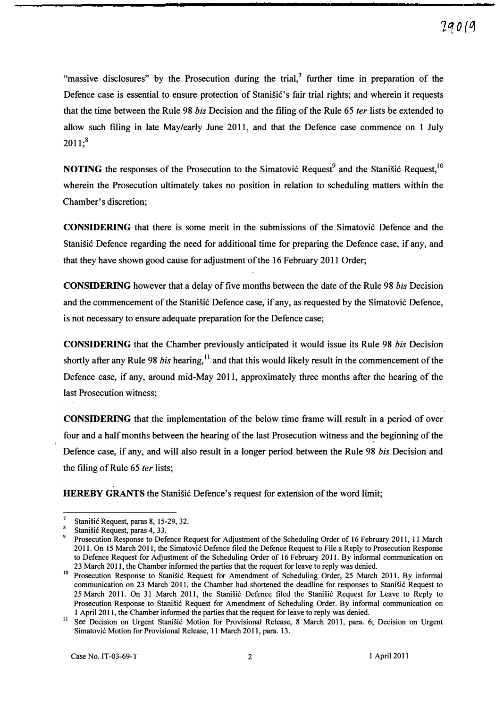"massive disclosures" by the Prosecution during the trial, $\lambda$  further time in preparation of the Defence case is essential to ensure protection of Stanišić's fair trial rights; and wherein it requests that the time between the Rule 98 *bis* Decision and the filing of the Rule 65 *ter* lists be extended to allow such filing in late May/early June 2011, and that the Defence case commence on 1 July  $2011$ ;<sup>8</sup>

**NOTING** the responses of the Prosecution to the Simatović Request<sup>9</sup> and the Stanišić Request,  $10$ wherein the Prosecution ultimately takes no position in relation to scheduling matters within the Chamber's discretion;

CONSIDERING that there is some merit in the submissions of the Simatovi6 Defence and the Stanišić Defence regarding the need for additional time for preparing the Defence case, if any, and that they have shown good cause for adjustment of the 16 February 2011 Order;

**CONSIDERING** however that a delay of five months between the date of the Rule 98 *bis* Decision and the commencement of the Stanisić Defence case, if any, as requested by the Simatović Defence, is not necessary to ensure adequate preparation for the Defence case;

CONSIDERING that the Chamber previously anticipated it would issue its Rule 98 his Decision shortly after any Rule 98 *bis* hearing,<sup>11</sup> and that this would likely result in the commencement of the Defence case, if any, around mid-May 2011, approximately three months after the hearing of the last Prosecution witness;

CONSIDERING that the implementation of the below time frame will result in a period of over four and a half months between the hearing of the last Prosecution witness and the beginning of the Defence case, if any, and will also result in a longer period between the Rule 98 *bis* Decision and the filing of Rule 65 *ter* lists;

HEREBY GRANTS the Stanisic Defence's request for extension of the word limit;

Stanišić Request, paras 8, 15-29, 32.

<sup>&</sup>lt;sup>8</sup> Stanišić Request, paras 4, 33.

Prosecution Response to Defence Request for Adjustment of the Scheduling Order of 16 February 2011, 11 March 2011. On 15 March 2011, the Simatovi6 Defence filed the Defence Request to File a Reply to Prosecution Response to Defence Request for Adjustment of the Scheduling Order of 16 February 2011. By informal communication on 23 March 2011, the Chamber informed the parties that the request for leave to reply was denied.

<sup>&</sup>lt;sup>10</sup> Prosecution Response to Stanišić Request for Amendment of Scheduling Order, 25 March 2011. By informal communication on 23 March 2011, the Chamber had shortened the deadline for responses to Stanišić Request to 25 March 2011. On 31 March 2011, the Stanišić Defence filed the Stanišić Request for Leave to Reply to Prosecution Response to Stanišić Request for Amendment of Scheduling Order. By informal communication on I April 2011, the Chamber informed the parties that the request for leave to reply was denied.

<sup>&</sup>lt;sup>11</sup> See Decision on Urgent Stanisić Motion for Provisional Release, 8 March 2011, para. 6; Decision on Urgent Simatovi6 Motion for Provisional Release, II March 2011, para. 13.